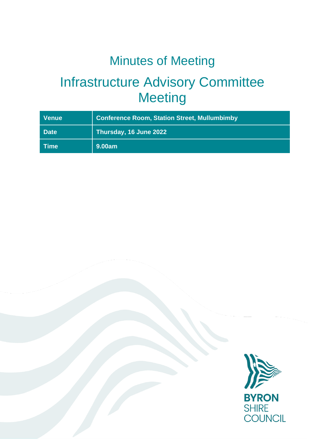# Minutes of Meeting

# Infrastructure Advisory Committee **Meeting**

| <b>Venue</b>                       | <b>Conference Room, Station Street, Mullumbimby</b> |
|------------------------------------|-----------------------------------------------------|
| <b>Date</b>                        | Thursday, 16 June 2022                              |
| $\blacksquare$ Time $\blacksquare$ | 9.00am                                              |

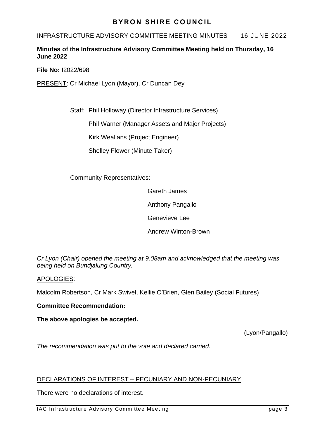## **BYRON SHIRE COUNCIL**

INFRASTRUCTURE ADVISORY COMMITTEE MEETING MINUTES 16 JUNE 2022

### **Minutes of the Infrastructure Advisory Committee Meeting held on Thursday, 16 June 2022**

**File No:** I2022/698

PRESENT: Cr Michael Lyon (Mayor), Cr Duncan Dey

Staff: Phil Holloway (Director Infrastructure Services)

Phil Warner (Manager Assets and Major Projects)

Kirk Weallans (Project Engineer)

Shelley Flower (Minute Taker)

Community Representatives:

Gareth James

Anthony Pangallo

Genevieve Lee

Andrew Winton-Brown

*Cr Lyon (Chair) opened the meeting at 9.08am and acknowledged that the meeting was being held on Bundjalung Country.*

APOLOGIES:

Malcolm Robertson, Cr Mark Swivel, Kellie O'Brien, Glen Bailey (Social Futures)

## **Committee Recommendation:**

**The above apologies be accepted.**

(Lyon/Pangallo)

*The recommendation was put to the vote and declared carried.*

## DECLARATIONS OF INTEREST – PECUNIARY AND NON-PECUNIARY

There were no declarations of interest.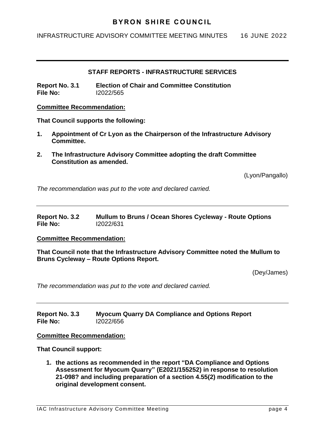## **BYRON SHIRE COUNCIL**

INFRASTRUCTURE ADVISORY COMMITTEE MEETING MINUTES 16 JUNE 2022

#### **STAFF REPORTS - INFRASTRUCTURE SERVICES**

**Report No. 3.1 Election of Chair and Committee Constitution File No:** I2022/565

#### **Committee Recommendation:**

**That Council supports the following:**

- **1. Appointment of Cr Lyon as the Chairperson of the Infrastructure Advisory Committee.**
- **2. The Infrastructure Advisory Committee adopting the draft Committee Constitution as amended.**

(Lyon/Pangallo)

*The recommendation was put to the vote and declared carried.*

| Report No. 3.2 | Mullum to Bruns / Ocean Shores Cycleway - Route Options |
|----------------|---------------------------------------------------------|
| File No:       | 12022/631                                               |

#### **Committee Recommendation:**

**That Council note that the Infrastructure Advisory Committee noted the Mullum to Bruns Cycleway – Route Options Report.**

(Dey/James)

*The recommendation was put to the vote and declared carried.*

**Report No. 3.3 Myocum Quarry DA Compliance and Options Report File No:** I2022/656

#### **Committee Recommendation:**

**That Council support:**

**1. the actions as recommended in the report "DA Compliance and Options Assessment for Myocum Quarry" (E2021/155252) in response to resolution 21-098? and including preparation of a section 4.55(2) modification to the original development consent.**